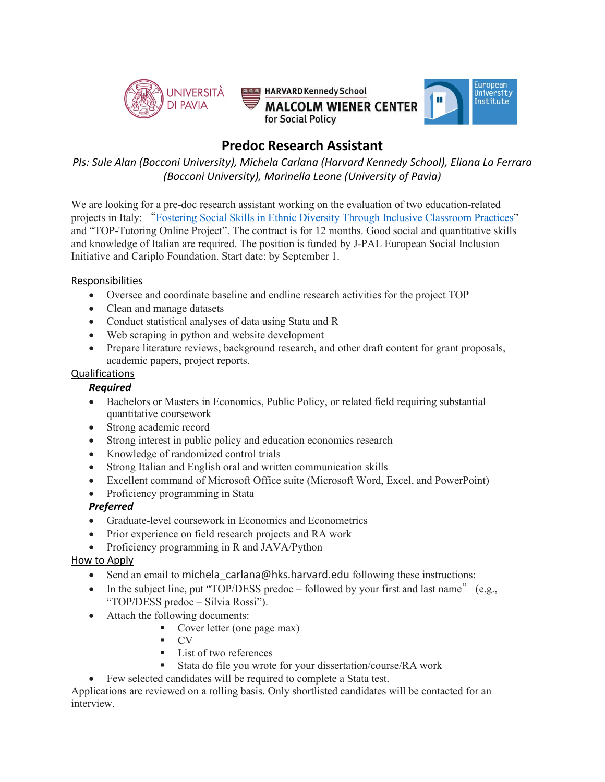

# **Predoc Research Assistant**

*PIs: Sule Alan (Bocconi University), Michela Carlana (Harvard Kennedy School), Eliana La Ferrara (Bocconi University), Marinella Leone (University of Pavia)*

We are looking for a pre-doc research assistant working on the evaluation of two education-related projects in Italy: "Fostering Social Skills in Ethnic Diversity Through Inclusive Classroom Practices" and "TOP-Tutoring Online Project". The contract is for 12 months. Good social and quantitative skills and knowledge of Italian are required. The position is funded by J-PAL European Social Inclusion Initiative and Cariplo Foundation. Start date: by September 1.

#### Responsibilities

- Oversee and coordinate baseline and endline research activities for the project TOP
- Clean and manage datasets
- Conduct statistical analyses of data using Stata and R
- Web scraping in python and website development
- Prepare literature reviews, background research, and other draft content for grant proposals, academic papers, project reports.

### Qualifications

### *Required*

- Bachelors or Masters in Economics, Public Policy, or related field requiring substantial quantitative coursework
- Strong academic record
- Strong interest in public policy and education economics research
- Knowledge of randomized control trials
- Strong Italian and English oral and written communication skills
- Excellent command of Microsoft Office suite (Microsoft Word, Excel, and PowerPoint)
- Proficiency programming in Stata

### *Preferred*

- Graduate-level coursework in Economics and Econometrics
- Prior experience on field research projects and RA work
- Proficiency programming in R and JAVA/Python

### How to Apply

- Send an email to michela carlana@hks.harvard.edu following these instructions:
- In the subject line, put "TOP/DESS predoc followed by your first and last name" (e.g., "TOP/DESS predoc – Silvia Rossi").
- Attach the following documents:
	- § Cover letter (one page max)
	- $\blacksquare$  CV
	- List of two references
	- § Stata do file you wrote for your dissertation/course/RA work
- Few selected candidates will be required to complete a Stata test.

Applications are reviewed on a rolling basis. Only shortlisted candidates will be contacted for an interview.